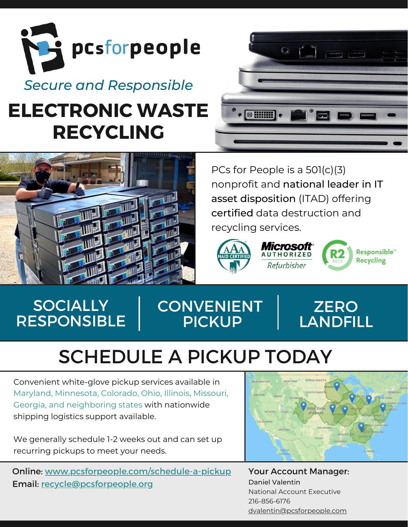

# **ELECTRONIC WASTE RECYCLING**



PCs for People is a 501(c)(3) nonprofit and national leader in IT asset disposition (ITAD) offering certified data destruction and recycling services.



 $\bullet$  (+ HHH)



Responsible<sup>®</sup> **Recycling** 

## **SOCIALLY** RESPONSIBLE

## **CONVENIENT** PICKUP



# SCHEDULE A PICKUP TODAY

Convenient white-glove pickup services available in Maryland, Minnesota, Colorado, Ohio, Illinois, Missouri, Georgia, and neighboring states with nationwide shipping logistics support available.

We generally schedule 1-2 weeks out and can set up recurring pickups to meet your needs.

Online: [www.pcsforpeople.com/schedule-a-pickup](https://www.pcsforpeople.com/schedule-a-pickup) Email: [recycle@pcsforpeople.org](mailto:%20recycle@pcsforpeople.org)



Your Account Manager: Daniel Valentin National Account Executive 216-856-6176 [dvalentin@pcsforpeople.com](mailto:dvalentin@pcsforpeople.org)